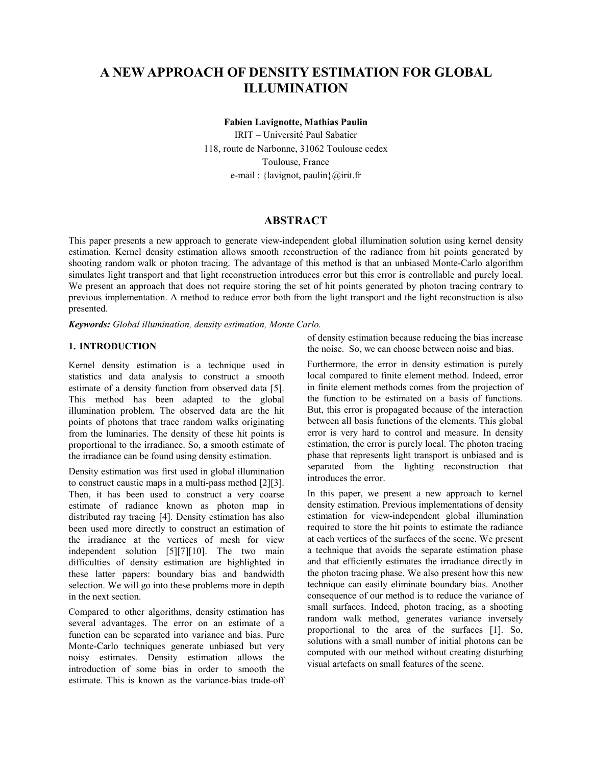# **A NEW APPROACH OF DENSITY ESTIMATION FOR GLOBAL ILLUMINATION**

**Fabien Lavignotte, Mathias Paulin** 

IRIT – Université Paul Sabatier 118, route de Narbonne, 31062 Toulouse cedex Toulouse, France e-mail : {lavignot, paulin}@irit.fr

# **ABSTRACT**

This paper presents a new approach to generate view-independent global illumination solution using kernel density estimation. Kernel density estimation allows smooth reconstruction of the radiance from hit points generated by shooting random walk or photon tracing. The advantage of this method is that an unbiased Monte-Carlo algorithm simulates light transport and that light reconstruction introduces error but this error is controllable and purely local. We present an approach that does not require storing the set of hit points generated by photon tracing contrary to previous implementation. A method to reduce error both from the light transport and the light reconstruction is also presented.

*Keywords: Global illumination, density estimation, Monte Carlo.* 

# **1. INTRODUCTION**

Kernel density estimation is a technique used in statistics and data analysis to construct a smooth estimate of a density function from observed data [5]. This method has been adapted to the global illumination problem. The observed data are the hit points of photons that trace random walks originating from the luminaries. The density of these hit points is proportional to the irradiance. So, a smooth estimate of the irradiance can be found using density estimation.

Density estimation was first used in global illumination to construct caustic maps in a multi-pass method [2][3]. Then, it has been used to construct a very coarse estimate of radiance known as photon map in distributed ray tracing [4]. Density estimation has also been used more directly to construct an estimation of the irradiance at the vertices of mesh for view independent solution [5][7][10]. The two main difficulties of density estimation are highlighted in these latter papers: boundary bias and bandwidth selection. We will go into these problems more in depth in the next section.

Compared to other algorithms, density estimation has several advantages. The error on an estimate of a function can be separated into variance and bias. Pure Monte-Carlo techniques generate unbiased but very noisy estimates. Density estimation allows the introduction of some bias in order to smooth the estimate. This is known as the variance-bias trade-off of density estimation because reducing the bias increase the noise. So, we can choose between noise and bias.

Furthermore, the error in density estimation is purely local compared to finite element method. Indeed, error in finite element methods comes from the projection of the function to be estimated on a basis of functions. But, this error is propagated because of the interaction between all basis functions of the elements. This global error is very hard to control and measure. In density estimation, the error is purely local. The photon tracing phase that represents light transport is unbiased and is separated from the lighting reconstruction that introduces the error.

In this paper, we present a new approach to kernel density estimation. Previous implementations of density estimation for view-independent global illumination required to store the hit points to estimate the radiance at each vertices of the surfaces of the scene. We present a technique that avoids the separate estimation phase and that efficiently estimates the irradiance directly in the photon tracing phase. We also present how this new technique can easily eliminate boundary bias. Another consequence of our method is to reduce the variance of small surfaces. Indeed, photon tracing, as a shooting random walk method, generates variance inversely proportional to the area of the surfaces [1]. So, solutions with a small number of initial photons can be computed with our method without creating disturbing visual artefacts on small features of the scene.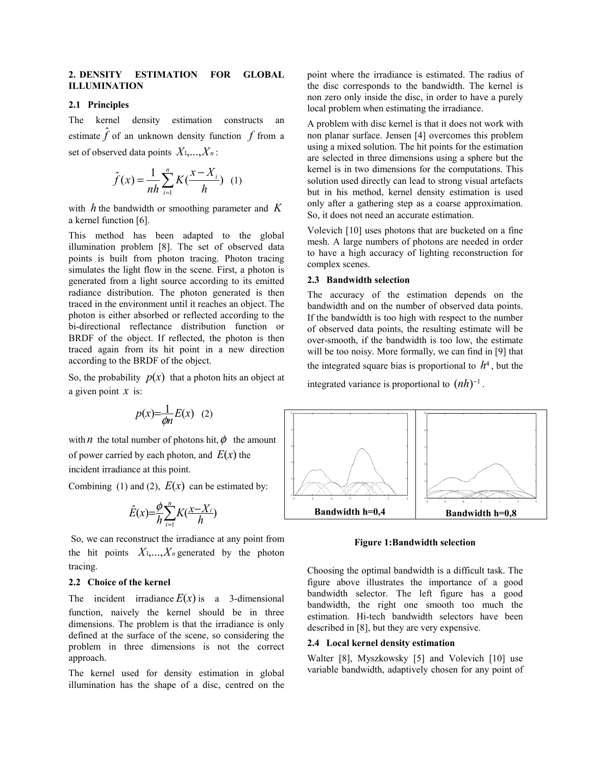## **2. DENSITY ESTIMATION FOR GLOBAL ILLUMINATION**

#### **2.1 Principles**

The kernel density estimation constructs an estimate  $\hat{f}$  of an unknown density function  $f$  from a set of observed data points *X*1,...,*Xn* :

$$
\hat{f}(x) = \frac{1}{nh} \sum_{i=1}^{n} K(\frac{x - X_i}{h}) \quad (1)
$$

with *h* the bandwidth or smoothing parameter and *K* a kernel function [6].

This method has been adapted to the global illumination problem [8]. The set of observed data points is built from photon tracing. Photon tracing simulates the light flow in the scene. First, a photon is generated from a light source according to its emitted radiance distribution. The photon generated is then traced in the environment until it reaches an object. The photon is either absorbed or reflected according to the bi-directional reflectance distribution function or BRDF of the object. If reflected, the photon is then traced again from its hit point in a new direction according to the BRDF of the object.

So, the probability  $p(x)$  that a photon hits an object at a given point *x* is:

$$
p(x) = \frac{1}{\phi n} E(x) \quad (2)
$$

with *n* the total number of photons hit,  $\phi$  the amount of power carried by each photon, and  $E(x)$  the incident irradiance at this point.

Combining (1) and (2),  $E(x)$  can be estimated by:

$$
\hat{E}(x) = \frac{\phi}{h} \sum_{i=1}^{n} K(\frac{x - X_i}{h})
$$

 So, we can reconstruct the irradiance at any point from the hit points  $X_1,...,X_n$  generated by the photon tracing.

#### **2.2 Choice of the kernel**

The incident irradiance  $E(x)$  is a 3-dimensional function, naively the kernel should be in three dimensions. The problem is that the irradiance is only defined at the surface of the scene, so considering the problem in three dimensions is not the correct approach.

The kernel used for density estimation in global illumination has the shape of a disc, centred on the

point where the irradiance is estimated. The radius of the disc corresponds to the bandwidth. The kernel is non zero only inside the disc, in order to have a purely local problem when estimating the irradiance.

A problem with disc kernel is that it does not work with non planar surface. Jensen [4] overcomes this problem using a mixed solution. The hit points for the estimation are selected in three dimensions using a sphere but the kernel is in two dimensions for the computations. This solution used directly can lead to strong visual artefacts but in his method, kernel density estimation is used only after a gathering step as a coarse approximation. So, it does not need an accurate estimation.

Volevich [10] uses photons that are bucketed on a fine mesh. A large numbers of photons are needed in order to have a high accuracy of lighting reconstruction for complex scenes.

## **2.3 Bandwidth selection**

The accuracy of the estimation depends on the bandwidth and on the number of observed data points. If the bandwidth is too high with respect to the number of observed data points, the resulting estimate will be over-smooth, if the bandwidth is too low, the estimate will be too noisy. More formally, we can find in [9] that the integrated square bias is proportional to  $h<sup>4</sup>$ , but the

integrated variance is proportional to  $(nh)$ <sup>-1</sup>.



#### **Figure 1:Bandwidth selection**

Choosing the optimal bandwidth is a difficult task. The figure above illustrates the importance of a good bandwidth selector. The left figure has a good bandwidth, the right one smooth too much the estimation. Hi-tech bandwidth selectors have been described in [8], but they are very expensive.

#### **2.4 Local kernel density estimation**

Walter [8], Myszkowsky [5] and Volevich [10] use variable bandwidth, adaptively chosen for any point of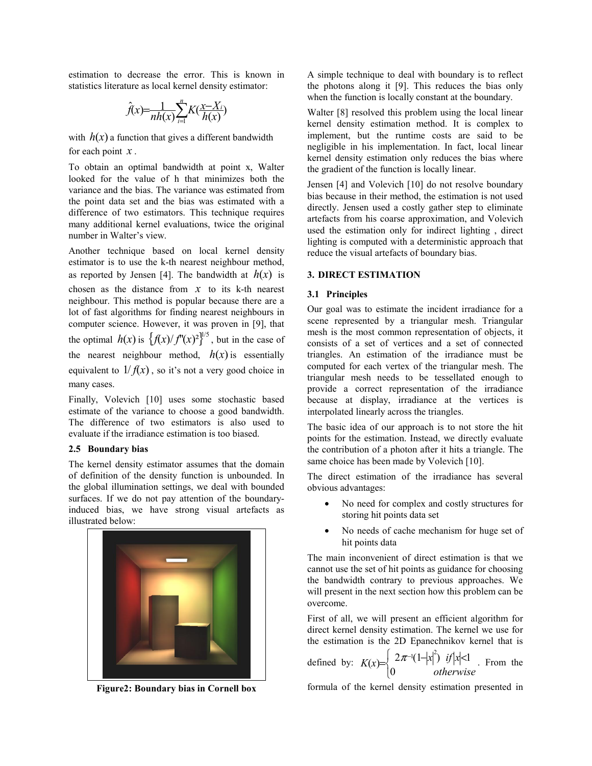estimation to decrease the error. This is known in statistics literature as local kernel density estimator:

$$
\hat{f}(x) = \frac{1}{nh(x)} \sum_{i=1}^{n} K(\frac{x - X_i}{h(x)})
$$

with  $h(x)$  a function that gives a different bandwidth for each point *x* .

To obtain an optimal bandwidth at point x, Walter looked for the value of h that minimizes both the variance and the bias. The variance was estimated from the point data set and the bias was estimated with a difference of two estimators. This technique requires many additional kernel evaluations, twice the original number in Walter's view.

Another technique based on local kernel density estimator is to use the k-th nearest neighbour method, as reported by Jensen [4]. The bandwidth at  $h(x)$  is chosen as the distance from  $x$  to its k-th nearest neighbour. This method is popular because there are a lot of fast algorithms for finding nearest neighbours in computer science. However, it was proven in [9], that the optimal  $h(x)$  is  $\left\{ \frac{f(x)}{f'(x)} \right\}^{\frac{1}{5}}$ , but in the case of the nearest neighbour method,  $h(x)$  is essentially equivalent to  $1/f(x)$ , so it's not a very good choice in many cases.

Finally, Volevich [10] uses some stochastic based estimate of the variance to choose a good bandwidth. The difference of two estimators is also used to evaluate if the irradiance estimation is too biased.

#### **2.5 Boundary bias**

The kernel density estimator assumes that the domain of definition of the density function is unbounded. In the global illumination settings, we deal with bounded surfaces. If we do not pay attention of the boundaryinduced bias, we have strong visual artefacts as illustrated below:



**Figure2: Boundary bias in Cornell box** 

A simple technique to deal with boundary is to reflect the photons along it [9]. This reduces the bias only when the function is locally constant at the boundary.

Walter [8] resolved this problem using the local linear kernel density estimation method. It is complex to implement, but the runtime costs are said to be negligible in his implementation. In fact, local linear kernel density estimation only reduces the bias where the gradient of the function is locally linear.

Jensen [4] and Volevich [10] do not resolve boundary bias because in their method, the estimation is not used directly. Jensen used a costly gather step to eliminate artefacts from his coarse approximation, and Volevich used the estimation only for indirect lighting , direct lighting is computed with a deterministic approach that reduce the visual artefacts of boundary bias.

#### **3. DIRECT ESTIMATION**

#### **3.1 Principles**

Our goal was to estimate the incident irradiance for a scene represented by a triangular mesh. Triangular mesh is the most common representation of objects, it consists of a set of vertices and a set of connected triangles. An estimation of the irradiance must be computed for each vertex of the triangular mesh. The triangular mesh needs to be tessellated enough to provide a correct representation of the irradiance because at display, irradiance at the vertices is interpolated linearly across the triangles.

The basic idea of our approach is to not store the hit points for the estimation. Instead, we directly evaluate the contribution of a photon after it hits a triangle. The same choice has been made by Volevich [10].

The direct estimation of the irradiance has several obvious advantages:

- No need for complex and costly structures for storing hit points data set
- No needs of cache mechanism for huge set of hit points data

The main inconvenient of direct estimation is that we cannot use the set of hit points as guidance for choosing the bandwidth contrary to previous approaches. We will present in the next section how this problem can be overcome.

First of all, we will present an efficient algorithm for direct kernel density estimation. The kernel we use for the estimation is the 2D Epanechnikov kernel that is

defined by: 
$$
K(x) = \begin{cases} 2\pi^{-1}(1-|x|^2) & \text{if } |x| < 1 \\ 0 & \text{otherwise} \end{cases}
$$
. From the

formula of the kernel density estimation presented in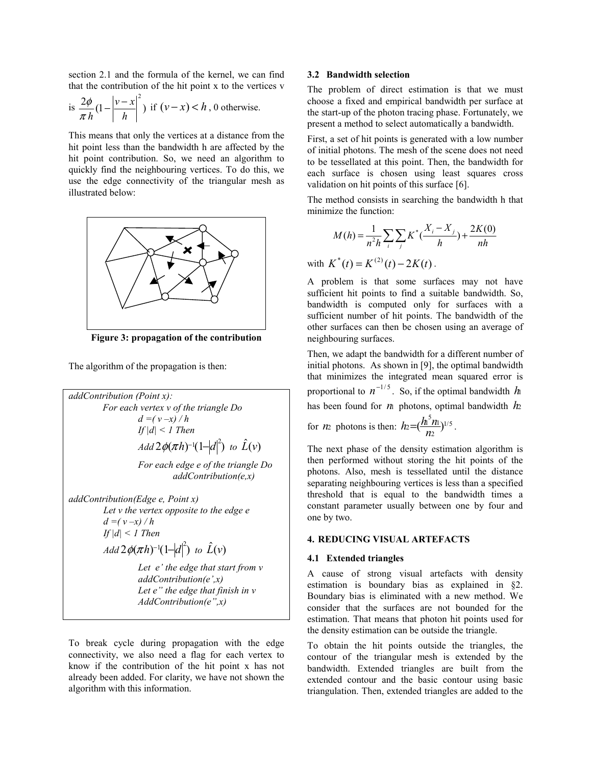section 2.1 and the formula of the kernel, we can find that the contribution of the hit point x to the vertices v

is 
$$
\frac{2\phi}{\pi h} \left(1 - \left|\frac{v - x}{h}\right|^2\right)
$$
 if  $(v - x) < h$ , 0 otherwise.

This means that only the vertices at a distance from the hit point less than the bandwidth h are affected by the hit point contribution. So, we need an algorithm to quickly find the neighbouring vertices. To do this, we use the edge connectivity of the triangular mesh as illustrated below:



**Figure 3: propagation of the contribution** 

The algorithm of the propagation is then:

*addContribution (Point x): For each vertex v of the triangle Do*   $d = (v - x) / h$  *If |d| < 1 Then Add*  $2\phi(\pi h)^{-1}(1-|d|^2)$  to  $\hat{L}(v)$  *For each edge e of the triangle Do addContribution(e,x) addContribution(Edge e, Point x) Let v the vertex opposite to the edge e*   $d = (v - x) / h$  *If |d| < 1 Then Add*  $2\phi(\pi h)^{-1}(1-|d|^2)$  to  $\hat{L}(v)$  *Let e' the edge that start from v addContribution(e',x) Let e" the edge that finish in v AddContribution(e",x)* 

To break cycle during propagation with the edge connectivity, we also need a flag for each vertex to know if the contribution of the hit point x has not already been added. For clarity, we have not shown the algorithm with this information.

#### **3.2 Bandwidth selection**

The problem of direct estimation is that we must choose a fixed and empirical bandwidth per surface at the start-up of the photon tracing phase. Fortunately, we present a method to select automatically a bandwidth.

First, a set of hit points is generated with a low number of initial photons. The mesh of the scene does not need to be tessellated at this point. Then, the bandwidth for each surface is chosen using least squares cross validation on hit points of this surface [6].

The method consists in searching the bandwidth h that minimize the function:

$$
M(h) = \frac{1}{n^2 h} \sum_{i} \sum_{j} K^* (\frac{X_i - X_j}{h}) + \frac{2K(0)}{nh}
$$

with  $K^*(t) = K^{(2)}(t) - 2K(t)$ .

A problem is that some surfaces may not have sufficient hit points to find a suitable bandwidth. So, bandwidth is computed only for surfaces with a sufficient number of hit points. The bandwidth of the other surfaces can then be chosen using an average of neighbouring surfaces.

Then, we adapt the bandwidth for a different number of initial photons. As shown in [9], the optimal bandwidth that minimizes the integrated mean squared error is proportional to  $n^{-1/5}$ . So, if the optimal bandwidth  $h$ has been found for  $n_1$  photons, optimal bandwidth  $h_2$ 

for *n*<sub>2</sub> photons is then:  $h_2 = \left(\frac{h_1 h_1}{h_2}\right)^{1/5}$  $h_2 = (\frac{h_1^5 n_1}{n_2})^{1/5}$ .

The next phase of the density estimation algorithm is then performed without storing the hit points of the photons. Also, mesh is tessellated until the distance separating neighbouring vertices is less than a specified threshold that is equal to the bandwidth times a constant parameter usually between one by four and one by two.

#### **4. REDUCING VISUAL ARTEFACTS**

#### **4.1 Extended triangles**

A cause of strong visual artefacts with density estimation is boundary bias as explained in §2. Boundary bias is eliminated with a new method. We consider that the surfaces are not bounded for the estimation. That means that photon hit points used for the density estimation can be outside the triangle.

To obtain the hit points outside the triangles, the contour of the triangular mesh is extended by the bandwidth. Extended triangles are built from the extended contour and the basic contour using basic triangulation. Then, extended triangles are added to the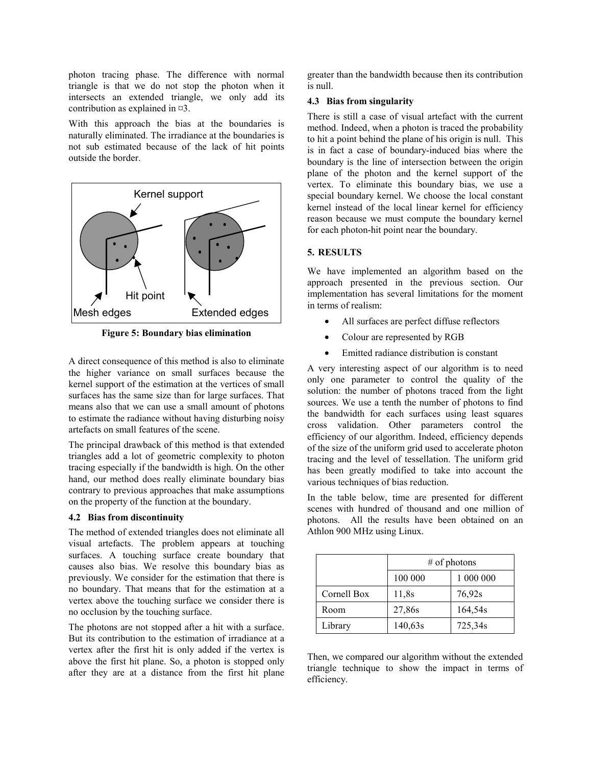photon tracing phase. The difference with normal triangle is that we do not stop the photon when it intersects an extended triangle, we only add its contribution as explained in  $\varnothing$ 3.

With this approach the bias at the boundaries is naturally eliminated. The irradiance at the boundaries is not sub estimated because of the lack of hit points outside the border.



**Figure 5: Boundary bias elimination** 

A direct consequence of this method is also to eliminate the higher variance on small surfaces because the kernel support of the estimation at the vertices of small surfaces has the same size than for large surfaces. That means also that we can use a small amount of photons to estimate the radiance without having disturbing noisy artefacts on small features of the scene.

The principal drawback of this method is that extended triangles add a lot of geometric complexity to photon tracing especially if the bandwidth is high. On the other hand, our method does really eliminate boundary bias contrary to previous approaches that make assumptions on the property of the function at the boundary.

## **4.2 Bias from discontinuity**

The method of extended triangles does not eliminate all visual artefacts. The problem appears at touching surfaces. A touching surface create boundary that causes also bias. We resolve this boundary bias as previously. We consider for the estimation that there is no boundary. That means that for the estimation at a vertex above the touching surface we consider there is no occlusion by the touching surface.

The photons are not stopped after a hit with a surface. But its contribution to the estimation of irradiance at a vertex after the first hit is only added if the vertex is above the first hit plane. So, a photon is stopped only after they are at a distance from the first hit plane greater than the bandwidth because then its contribution is null.

## **4.3 Bias from singularity**

There is still a case of visual artefact with the current method. Indeed, when a photon is traced the probability to hit a point behind the plane of his origin is null. This is in fact a case of boundary-induced bias where the boundary is the line of intersection between the origin plane of the photon and the kernel support of the vertex. To eliminate this boundary bias, we use a special boundary kernel. We choose the local constant kernel instead of the local linear kernel for efficiency reason because we must compute the boundary kernel for each photon-hit point near the boundary.

## **5. RESULTS**

We have implemented an algorithm based on the approach presented in the previous section. Our implementation has several limitations for the moment in terms of realism:

- All surfaces are perfect diffuse reflectors
- Colour are represented by RGB
- Emitted radiance distribution is constant

A very interesting aspect of our algorithm is to need only one parameter to control the quality of the solution: the number of photons traced from the light sources. We use a tenth the number of photons to find the bandwidth for each surfaces using least squares cross validation. Other parameters control the efficiency of our algorithm. Indeed, efficiency depends of the size of the uniform grid used to accelerate photon tracing and the level of tessellation. The uniform grid has been greatly modified to take into account the various techniques of bias reduction.

In the table below, time are presented for different scenes with hundred of thousand and one million of photons. All the results have been obtained on an Athlon 900 MHz using Linux.

|             | $#$ of photons |           |  |
|-------------|----------------|-----------|--|
|             | 100 000        | 1 000 000 |  |
| Cornell Box | 11,8s          | 76,92s    |  |
| Room        | 27,86s         | 164,54s   |  |
| Library     | 140,63s        | 725,34s   |  |

Then, we compared our algorithm without the extended triangle technique to show the impact in terms of efficiency.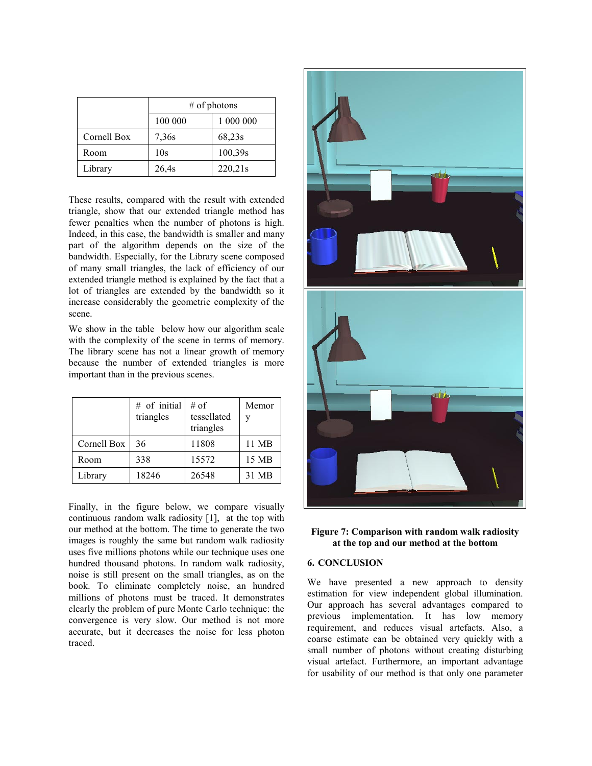|             | $#$ of photons |           |  |
|-------------|----------------|-----------|--|
|             | 100 000        | 1 000 000 |  |
| Cornell Box | 7,36s          | 68,23s    |  |
| Room        | 10s            | 100,39s   |  |
| Library     | 26,4s          | 220,21s   |  |

These results, compared with the result with extended triangle, show that our extended triangle method has fewer penalties when the number of photons is high. Indeed, in this case, the bandwidth is smaller and many part of the algorithm depends on the size of the bandwidth. Especially, for the Library scene composed of many small triangles, the lack of efficiency of our extended triangle method is explained by the fact that a lot of triangles are extended by the bandwidth so it increase considerably the geometric complexity of the scene.

We show in the table below how our algorithm scale with the complexity of the scene in terms of memory. The library scene has not a linear growth of memory because the number of extended triangles is more important than in the previous scenes.

|             | # of initial<br>triangles | $#$ of<br>tessellated<br>triangles | Memor |
|-------------|---------------------------|------------------------------------|-------|
| Cornell Box | 36                        | 11808                              | 11 MB |
| Room        | 338                       | 15572                              | 15 MB |
| Library     | 18246                     | 26548                              | 31 MB |

Finally, in the figure below, we compare visually continuous random walk radiosity [1], at the top with our method at the bottom. The time to generate the two images is roughly the same but random walk radiosity uses five millions photons while our technique uses one hundred thousand photons. In random walk radiosity, noise is still present on the small triangles, as on the book. To eliminate completely noise, an hundred millions of photons must be traced. It demonstrates clearly the problem of pure Monte Carlo technique: the convergence is very slow. Our method is not more accurate, but it decreases the noise for less photon traced.



## **Figure 7: Comparison with random walk radiosity at the top and our method at the bottom**

## **6. CONCLUSION**

We have presented a new approach to density estimation for view independent global illumination. Our approach has several advantages compared to previous implementation. It has low memory requirement, and reduces visual artefacts. Also, a coarse estimate can be obtained very quickly with a small number of photons without creating disturbing visual artefact. Furthermore, an important advantage for usability of our method is that only one parameter